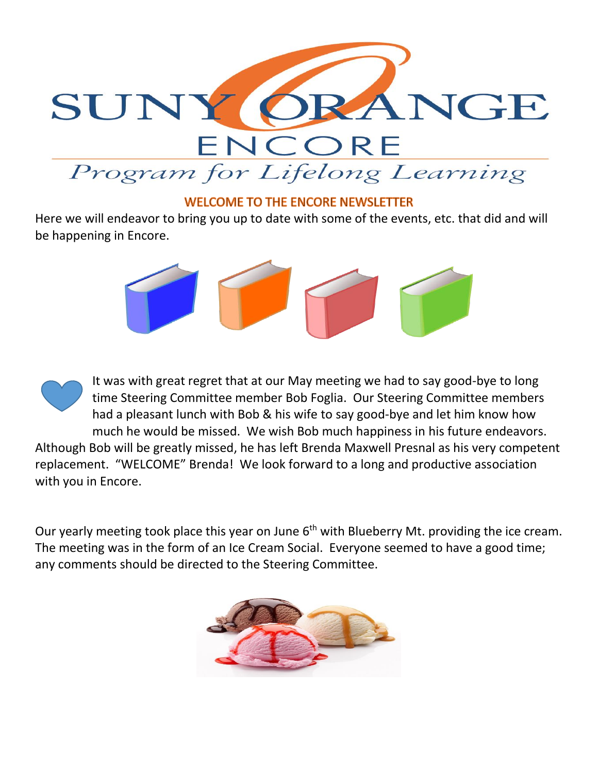

## **WELCOME TO THE ENCORE NEWSLETTER**

Here we will endeavor to bring you up to date with some of the events, etc. that did and will be happening in Encore.



It was with great regret that at our May meeting we had to say good-bye to long time Steering Committee member Bob Foglia. Our Steering Committee members had a pleasant lunch with Bob & his wife to say good-bye and let him know how much he would be missed. We wish Bob much happiness in his future endeavors.

Although Bob will be greatly missed, he has left Brenda Maxwell Presnal as his very competent replacement. "WELCOME" Brenda! We look forward to a long and productive association with you in Encore.

Our yearly meeting took place this year on June 6<sup>th</sup> with Blueberry Mt. providing the ice cream. The meeting was in the form of an Ice Cream Social. Everyone seemed to have a good time; any comments should be directed to the Steering Committee.